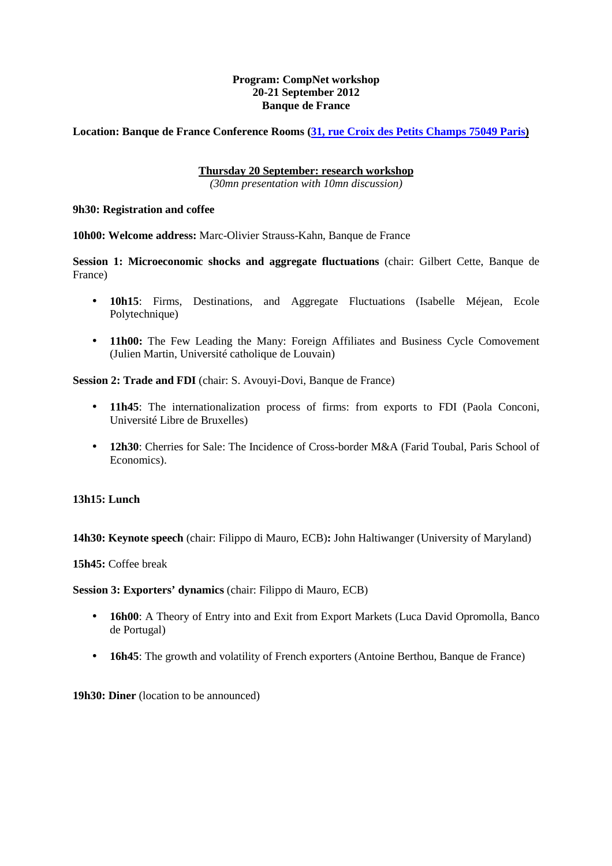## **Program: CompNet workshop 20-21 September 2012 Banque de France**

**Location: Banque de France Conference Rooms (31, rue Croix des Petits Champs 75049 Paris)**

## **Thursday 20 September: research workshop**

*(30mn presentation with 10mn discussion)* 

**9h30: Registration and coffee** 

**10h00: Welcome address:** Marc-Olivier Strauss-Kahn, Banque de France

**Session 1: Microeconomic shocks and aggregate fluctuations** (chair: Gilbert Cette, Banque de France)

- **10h15**: Firms, Destinations, and Aggregate Fluctuations (Isabelle Méjean, Ecole Polytechnique)
- **11h00:** The Few Leading the Many: Foreign Affiliates and Business Cycle Comovement (Julien Martin, Université catholique de Louvain)

**Session 2: Trade and FDI** (chair: S. Avouyi-Dovi, Banque de France)

- **11h45**: The internationalization process of firms: from exports to FDI (Paola Conconi, Université Libre de Bruxelles)
- **12h30**: Cherries for Sale: The Incidence of Cross-border M&A (Farid Toubal, Paris School of Economics).

## **13h15: Lunch**

**14h30: Keynote speech** (chair: Filippo di Mauro, ECB)**:** John Haltiwanger (University of Maryland)

**15h45:** Coffee break

**Session 3: Exporters' dynamics** (chair: Filippo di Mauro, ECB)

- **16h00**: A Theory of Entry into and Exit from Export Markets (Luca David Opromolla, Banco de Portugal)
- **16h45**: The growth and volatility of French exporters (Antoine Berthou, Banque de France)

**19h30: Diner** (location to be announced)